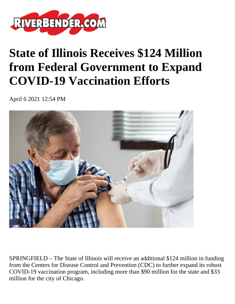

## **State of Illinois Receives \$124 Million from Federal Government to Expand COVID-19 Vaccination Efforts**

April 6 2021 12:54 PM



SPRINGFIELD – The State of Illinois will receive an additional \$124 million in funding from the Centers for Disease Control and Prevention (CDC) to further expand its robust COVID-19 vaccination program, including more than \$90 million for the state and \$33 million for the city of Chicago.